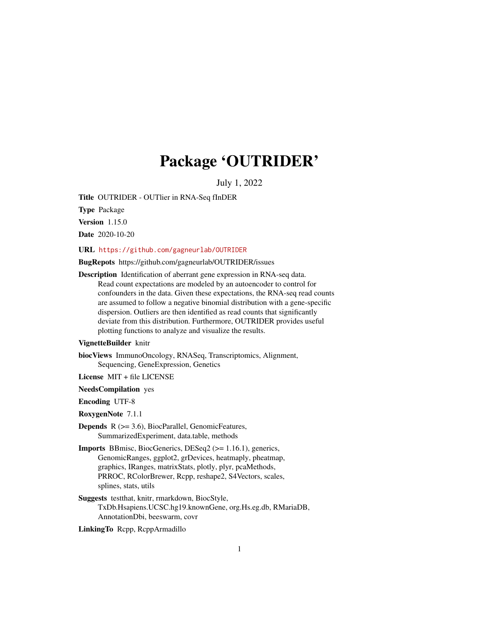# Package 'OUTRIDER'

July 1, 2022

<span id="page-0-0"></span>Title OUTRIDER - OUTlier in RNA-Seq fInDER

Type Package

Version 1.15.0

Date 2020-10-20

URL <https://github.com/gagneurlab/OUTRIDER>

BugRepots https://github.com/gagneurlab/OUTRIDER/issues

Description Identification of aberrant gene expression in RNA-seq data. Read count expectations are modeled by an autoencoder to control for confounders in the data. Given these expectations, the RNA-seq read counts are assumed to follow a negative binomial distribution with a gene-specific dispersion. Outliers are then identified as read counts that significantly deviate from this distribution. Furthermore, OUTRIDER provides useful plotting functions to analyze and visualize the results.

#### VignetteBuilder knitr

biocViews ImmunoOncology, RNASeq, Transcriptomics, Alignment, Sequencing, GeneExpression, Genetics

License MIT + file LICENSE

NeedsCompilation yes

Encoding UTF-8

RoxygenNote 7.1.1

- **Depends**  $R$  ( $>= 3.6$ ), BiocParallel, GenomicFeatures, SummarizedExperiment, data.table, methods
- Imports BBmisc, BiocGenerics, DESeq2 (>= 1.16.1), generics, GenomicRanges, ggplot2, grDevices, heatmaply, pheatmap, graphics, IRanges, matrixStats, plotly, plyr, pcaMethods, PRROC, RColorBrewer, Rcpp, reshape2, S4Vectors, scales, splines, stats, utils
- Suggests testthat, knitr, rmarkdown, BiocStyle, TxDb.Hsapiens.UCSC.hg19.knownGene, org.Hs.eg.db, RMariaDB, AnnotationDbi, beeswarm, covr

LinkingTo Rcpp, RcppArmadillo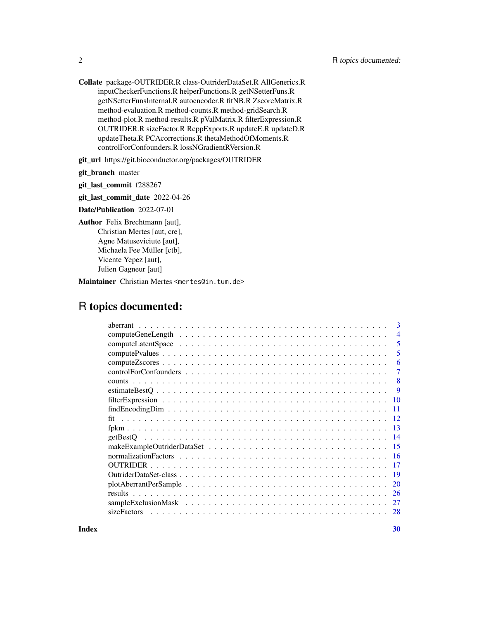Collate package-OUTRIDER.R class-OutriderDataSet.R AllGenerics.R inputCheckerFunctions.R helperFunctions.R getNSetterFuns.R getNSetterFunsInternal.R autoencoder.R fitNB.R ZscoreMatrix.R method-evaluation.R method-counts.R method-gridSearch.R method-plot.R method-results.R pValMatrix.R filterExpression.R OUTRIDER.R sizeFactor.R RcppExports.R updateE.R updateD.R updateTheta.R PCAcorrections.R thetaMethodOfMoments.R controlForConfounders.R lossNGradientRVersion.R

git\_url https://git.bioconductor.org/packages/OUTRIDER

git\_branch master

git\_last\_commit f288267

git\_last\_commit\_date 2022-04-26

Date/Publication 2022-07-01

Author Felix Brechtmann [aut], Christian Mertes [aut, cre], Agne Matuseviciute [aut], Michaela Fee Müller [ctb], Vicente Yepez [aut], Julien Gagneur [aut]

Maintainer Christian Mertes <mertes@in.tum.de>

# R topics documented:

| 3                                                                                                                        |
|--------------------------------------------------------------------------------------------------------------------------|
| 4                                                                                                                        |
| 5                                                                                                                        |
| 5                                                                                                                        |
| 6                                                                                                                        |
| 7                                                                                                                        |
| 8                                                                                                                        |
| -9                                                                                                                       |
| 10                                                                                                                       |
| $findEncodingDim \dots \dots \dots \dots \dots \dots \dots \dots \dots \dots \dots \dots \dots \dots \dots \dots$<br>-11 |
| $\overline{12}$                                                                                                          |
|                                                                                                                          |
| -14                                                                                                                      |
| -15                                                                                                                      |
| -16                                                                                                                      |
| -17                                                                                                                      |
| 19                                                                                                                       |
| $plotAberrant PerSample \dots \dots \dots \dots \dots \dots \dots \dots \dots \dots \dots \dots \dots \dots$<br>20       |
| 26                                                                                                                       |
| 27                                                                                                                       |
| sizeFactors                                                                                                              |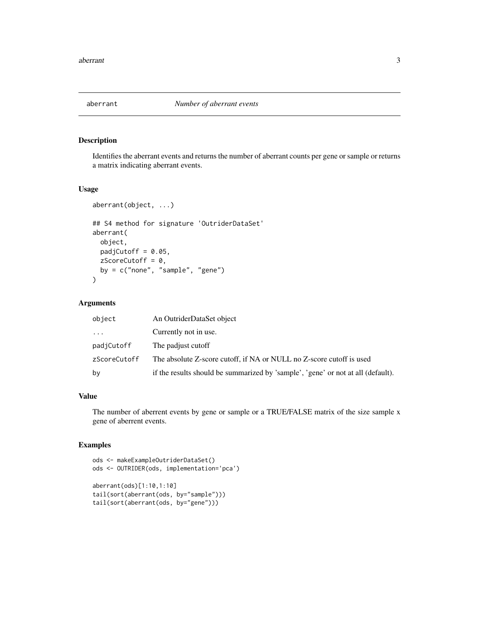<span id="page-2-1"></span><span id="page-2-0"></span>

#### Description

Identifies the aberrant events and returns the number of aberrant counts per gene or sample or returns a matrix indicating aberrant events.

# Usage

```
aberrant(object, ...)
## S4 method for signature 'OutriderDataSet'
aberrant(
 object,
 padjCutoff = 0.05,
 zScoreCutoff = 0,
 by = c("none", "sample", "gene")
)
```
#### Arguments

| object       | An OutriderDataSet object                                                        |
|--------------|----------------------------------------------------------------------------------|
| $\cdots$     | Currently not in use.                                                            |
| padjCutoff   | The padjust cutoff                                                               |
| zScoreCutoff | The absolute Z-score cutoff, if NA or NULL no Z-score cutoff is used             |
| bv           | if the results should be summarized by 'sample', 'gene' or not at all (default). |

# Value

The number of aberrent events by gene or sample or a TRUE/FALSE matrix of the size sample x gene of aberrent events.

```
ods <- makeExampleOutriderDataSet()
ods <- OUTRIDER(ods, implementation='pca')
aberrant(ods)[1:10,1:10]
tail(sort(aberrant(ods, by="sample")))
tail(sort(aberrant(ods, by="gene")))
```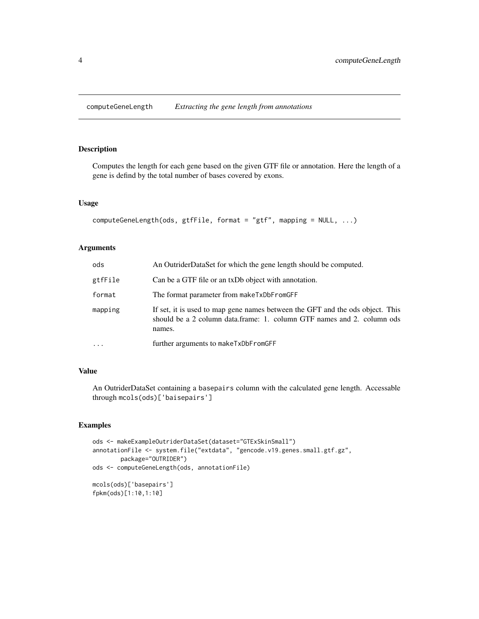<span id="page-3-0"></span>computeGeneLength *Extracting the gene length from annotations*

# Description

Computes the length for each gene based on the given GTF file or annotation. Here the length of a gene is defind by the total number of bases covered by exons.

# Usage

```
computeGeneLength(ods, gtfFile, format = "gtf", mapping = NULL, ...)
```
# Arguments

| ods      | An OutriderDataSet for which the gene length should be computed.                                                                                                  |
|----------|-------------------------------------------------------------------------------------------------------------------------------------------------------------------|
| gtfFile  | Can be a GTF file or an txDb object with annotation.                                                                                                              |
| format   | The format parameter from make TxDbFromGFF                                                                                                                        |
| mapping  | If set, it is used to map gene names between the GFT and the ods object. This<br>should be a 2 column data.frame: 1. column GTF names and 2. column ods<br>names. |
| $\cdots$ | further arguments to make TxDbFromGFF                                                                                                                             |

# Value

An OutriderDataSet containing a basepairs column with the calculated gene length. Accessable through mcols(ods)['baisepairs']

```
ods <- makeExampleOutriderDataSet(dataset="GTExSkinSmall")
annotationFile <- system.file("extdata", "gencode.v19.genes.small.gtf.gz",
       package="OUTRIDER")
ods <- computeGeneLength(ods, annotationFile)
mcols(ods)['basepairs']
fpkm(ods)[1:10,1:10]
```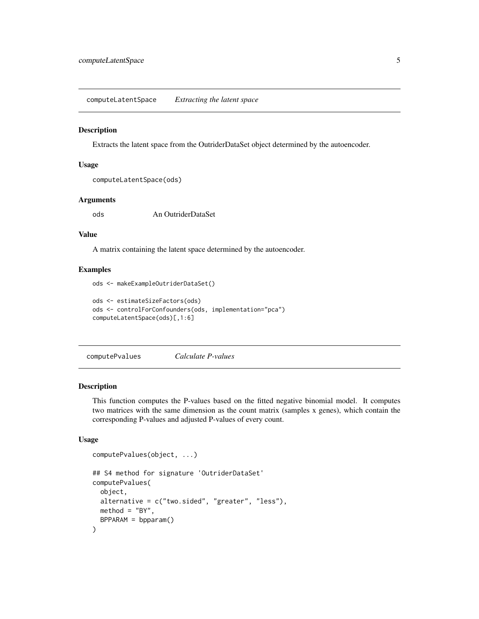<span id="page-4-0"></span>computeLatentSpace *Extracting the latent space*

#### Description

Extracts the latent space from the OutriderDataSet object determined by the autoencoder.

#### Usage

```
computeLatentSpace(ods)
```
#### Arguments

ods An OutriderDataSet

#### Value

A matrix containing the latent space determined by the autoencoder.

#### Examples

```
ods <- makeExampleOutriderDataSet()
ods <- estimateSizeFactors(ods)
ods <- controlForConfounders(ods, implementation="pca")
computeLatentSpace(ods)[,1:6]
```
<span id="page-4-1"></span>computePvalues *Calculate P-values*

#### Description

This function computes the P-values based on the fitted negative binomial model. It computes two matrices with the same dimension as the count matrix (samples x genes), which contain the corresponding P-values and adjusted P-values of every count.

#### Usage

```
computePvalues(object, ...)
## S4 method for signature 'OutriderDataSet'
computePvalues(
 object,
 alternative = c("two.sided", "greater", "less"),
 method = "BY",BPPARAM = bpparam()
)
```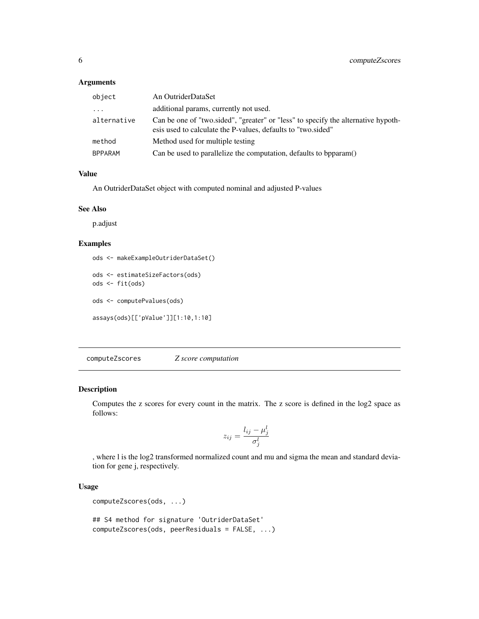#### <span id="page-5-0"></span>Arguments

| object                  | An OutriderDataSet                                                                                                                                |
|-------------------------|---------------------------------------------------------------------------------------------------------------------------------------------------|
| $\cdot$ $\cdot$ $\cdot$ | additional params, currently not used.                                                                                                            |
| alternative             | Can be one of "two sided", "greater" or "less" to specify the alternative hypoth-<br>esis used to calculate the P-values, defaults to "two.sided" |
| method                  | Method used for multiple testing                                                                                                                  |
| <b>BPPARAM</b>          | Can be used to parallelize the computation, defaults to bpparam()                                                                                 |

#### Value

An OutriderDataSet object with computed nominal and adjusted P-values

#### See Also

p.adjust

### Examples

```
ods <- makeExampleOutriderDataSet()
ods <- estimateSizeFactors(ods)
ods <- fit(ods)
ods <- computePvalues(ods)
assays(ods)[['pValue']][1:10,1:10]
```
<span id="page-5-1"></span>computeZscores *Z score computation*

#### Description

Computes the z scores for every count in the matrix. The z score is defined in the log2 space as follows:

$$
z_{ij} = \frac{l_{ij} - \mu_j^l}{\sigma_j^l}
$$

, where l is the log2 transformed normalized count and mu and sigma the mean and standard deviation for gene j, respectively.

# Usage

```
computeZscores(ods, ...)
```

```
## S4 method for signature 'OutriderDataSet'
computeZscores(ods, peerResiduals = FALSE, ...)
```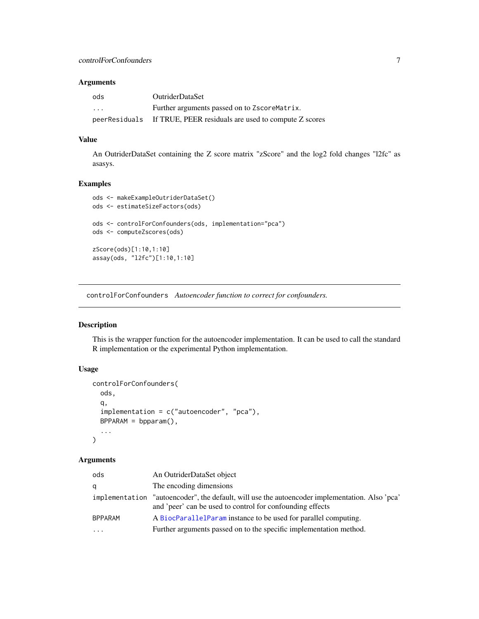# <span id="page-6-0"></span>Arguments

| ods           | <b>OutriderDataSet</b>                               |
|---------------|------------------------------------------------------|
| .             | Further arguments passed on to ZscoreMatrix.         |
| peerResiduals | If TRUE, PEER residuals are used to compute Z scores |

# Value

An OutriderDataSet containing the Z score matrix "zScore" and the log2 fold changes "l2fc" as asasys.

#### Examples

```
ods <- makeExampleOutriderDataSet()
ods <- estimateSizeFactors(ods)
ods <- controlForConfounders(ods, implementation="pca")
ods <- computeZscores(ods)
zScore(ods)[1:10,1:10]
assay(ods, "l2fc")[1:10,1:10]
```
<span id="page-6-1"></span>controlForConfounders *Autoencoder function to correct for confounders.*

# Description

This is the wrapper function for the autoencoder implementation. It can be used to call the standard R implementation or the experimental Python implementation.

# Usage

```
controlForConfounders(
  ods,
  q,
  implementation = c("autoencoder", "pca"),
  BPPARAM = bpparam(),
  ...
)
```
# Arguments

| ods            | An OutriderDataSet object                                                                                                                    |
|----------------|----------------------------------------------------------------------------------------------------------------------------------------------|
| q              | The encoding dimensions                                                                                                                      |
| implementation | "autoencoder", the default, will use the autoencoder implementation. Also 'pca'<br>and 'peer' can be used to control for confounding effects |
| <b>BPPARAM</b> | A BiocParallelParam instance to be used for parallel computing.                                                                              |
| $\cdot$        | Further arguments passed on to the specific implementation method.                                                                           |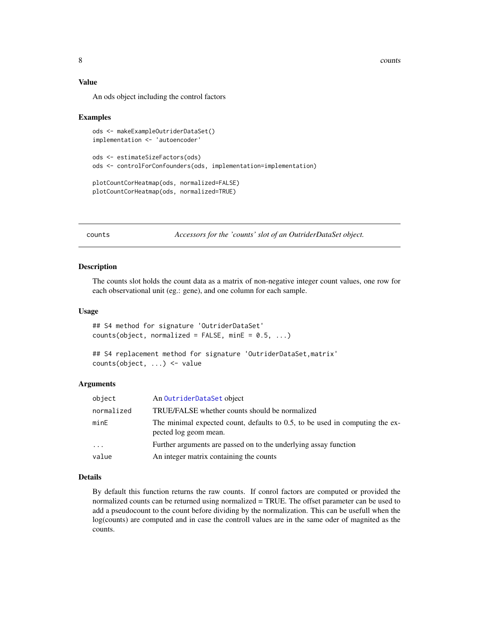<span id="page-7-0"></span>8 counts are seen to be a set of the second second second second second second second second second second second second second second second second second second second second second second second second second second sec

# Value

An ods object including the control factors

#### Examples

```
ods <- makeExampleOutriderDataSet()
implementation <- 'autoencoder'
ods <- estimateSizeFactors(ods)
ods <- controlForConfounders(ods, implementation=implementation)
plotCountCorHeatmap(ods, normalized=FALSE)
plotCountCorHeatmap(ods, normalized=TRUE)
```
counts *Accessors for the 'counts' slot of an OutriderDataSet object.*

# Description

The counts slot holds the count data as a matrix of non-negative integer count values, one row for each observational unit (eg.: gene), and one column for each sample.

#### Usage

```
## S4 method for signature 'OutriderDataSet'
counts(object, normalized = FALSE, minE = 0.5, ...)
```

```
## S4 replacement method for signature 'OutriderDataSet, matrix'
counts(object, ...) <- value
```
# Arguments

| object     | An OutriderDataSet object                                                                             |
|------------|-------------------------------------------------------------------------------------------------------|
| normalized | TRUE/FALSE whether counts should be normalized                                                        |
| minE       | The minimal expected count, defaults to 0.5, to be used in computing the ex-<br>pected log geom mean. |
| .          | Further arguments are passed on to the underlying assay function                                      |
| value      | An integer matrix containing the counts                                                               |

## Details

By default this function returns the raw counts. If conrol factors are computed or provided the normalized counts can be returned using normalized = TRUE. The offset parameter can be used to add a pseudocount to the count before dividing by the normalization. This can be usefull when the log(counts) are computed and in case the controll values are in the same oder of magnited as the counts.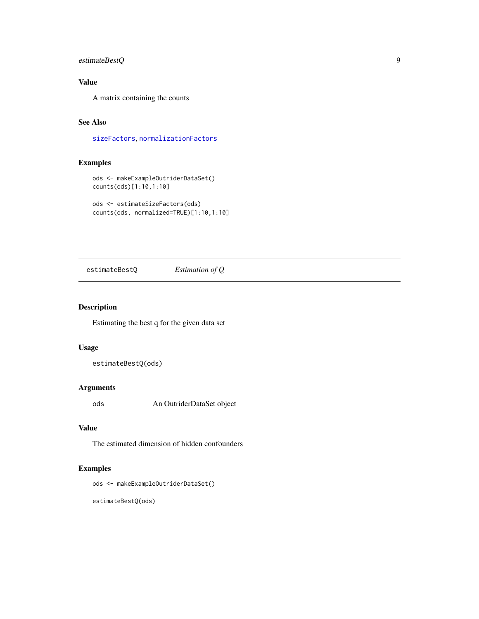# <span id="page-8-0"></span>estimateBestQ 9

# Value

A matrix containing the counts

# See Also

[sizeFactors](#page-27-1), [normalizationFactors](#page-15-1)

# Examples

```
ods <- makeExampleOutriderDataSet()
counts(ods)[1:10,1:10]
```

```
ods <- estimateSizeFactors(ods)
counts(ods, normalized=TRUE)[1:10,1:10]
```
estimateBestQ *Estimation of Q*

#### Description

Estimating the best q for the given data set

# Usage

estimateBestQ(ods)

# Arguments

ods An OutriderDataSet object

# Value

The estimated dimension of hidden confounders

# Examples

ods <- makeExampleOutriderDataSet()

estimateBestQ(ods)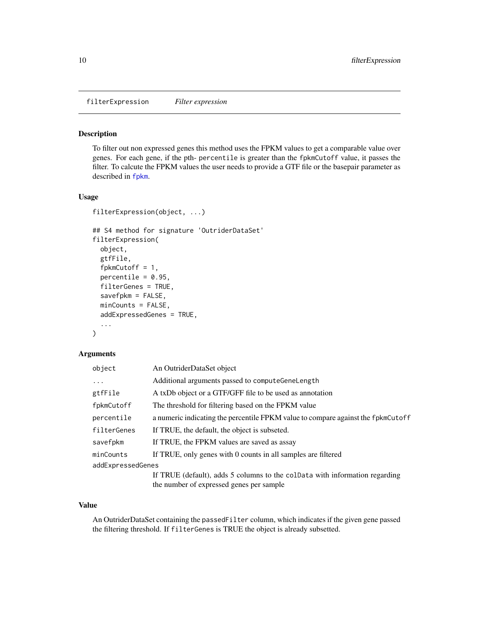<span id="page-9-0"></span>filterExpression *Filter expression*

#### Description

To filter out non expressed genes this method uses the FPKM values to get a comparable value over genes. For each gene, if the pth- percentile is greater than the fpkmCutoff value, it passes the filter. To calcute the FPKM values the user needs to provide a GTF file or the basepair parameter as described in [fpkm](#page-12-1).

# Usage

```
filterExpression(object, ...)
## S4 method for signature 'OutriderDataSet'
filterExpression(
 object,
 gtfFile,
  fpkmCutoff = 1,
 percentile = 0.95,
  filterGenes = TRUE,
  savefpkm = FALSE,
 minCounts = FALSE,
  addExpressedGenes = TRUE,
  ...
)
```
#### Arguments

| object            | An OutriderDataSet object                                                                                               |
|-------------------|-------------------------------------------------------------------------------------------------------------------------|
| $\ddotsc$         | Additional arguments passed to compute Gene Length                                                                      |
| gtfFile           | A txDb object or a GTF/GFF file to be used as annotation                                                                |
| fpkmCutoff        | The threshold for filtering based on the FPKM value                                                                     |
| percentile        | a numeric indicating the percentile FPKM value to compare against the fpkmCutoff                                        |
| filterGenes       | If TRUE, the default, the object is subseted.                                                                           |
| savefpkm          | If TRUE, the FPKM values are saved as assay                                                                             |
| minCounts         | If TRUE, only genes with 0 counts in all samples are filtered                                                           |
| addExpressedGenes |                                                                                                                         |
|                   | If TRUE (default), adds 5 columns to the colData with information regarding<br>the number of expressed genes per sample |
|                   |                                                                                                                         |

#### Value

An OutriderDataSet containing the passedFilter column, which indicates if the given gene passed the filtering threshold. If filterGenes is TRUE the object is already subsetted.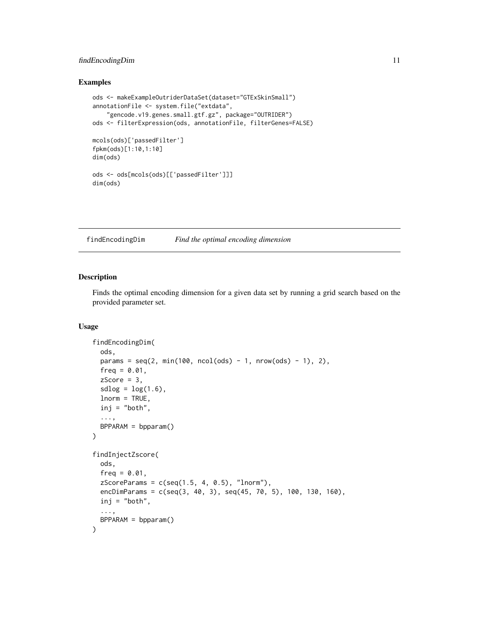# <span id="page-10-0"></span>findEncodingDim 11

#### Examples

```
ods <- makeExampleOutriderDataSet(dataset="GTExSkinSmall")
annotationFile <- system.file("extdata",
    "gencode.v19.genes.small.gtf.gz", package="OUTRIDER")
ods <- filterExpression(ods, annotationFile, filterGenes=FALSE)
mcols(ods)['passedFilter']
fpkm(ods)[1:10,1:10]
dim(ods)
ods <- ods[mcols(ods)[['passedFilter']]]
dim(ods)
```
findEncodingDim *Find the optimal encoding dimension*

# Description

Finds the optimal encoding dimension for a given data set by running a grid search based on the provided parameter set.

# Usage

```
findEncodingDim(
 ods,
 params = seq(2, min(100, ncol(ods) - 1, nrow(ods) - 1), 2),freq = 0.01,zScore = 3,
  sdlog = log(1.6),
 lnorm = TRUE,inj = "both",
  ...,
 BPPARAM = bpparam()
)
findInjectZscore(
  ods,
  freq = 0.01,zScoreParams = c(seq(1.5, 4, 0.5), "lnorm"),
 encDimParams = c(seq(3, 40, 3), seq(45, 70, 5), 100, 130, 160),
  inj = "both",...,
 BPPARAM = bpparam()
)
```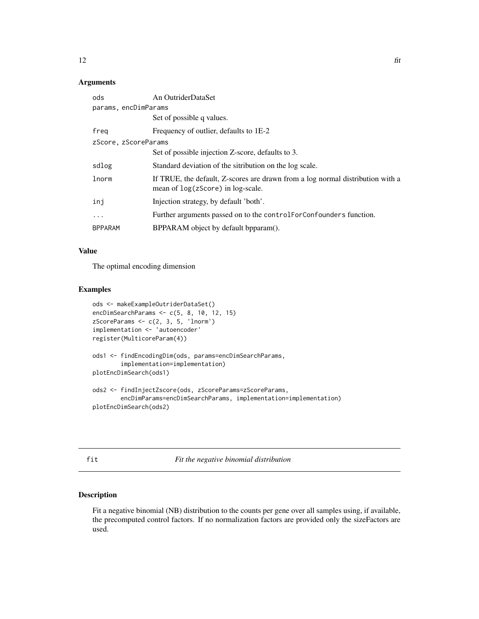#### <span id="page-11-0"></span>Arguments

| ods                  | An OutriderDataSet                                                                                                    |
|----------------------|-----------------------------------------------------------------------------------------------------------------------|
| params, encDimParams |                                                                                                                       |
|                      | Set of possible q values.                                                                                             |
| freg                 | Frequency of outlier, defaults to 1E-2                                                                                |
| zScore, zScoreParams |                                                                                                                       |
|                      | Set of possible injection Z-score, defaults to 3.                                                                     |
| sdlog                | Standard deviation of the sitribution on the log scale.                                                               |
| lnorm                | If TRUE, the default, Z-scores are drawn from a log normal distribution with a<br>mean of $log(zScore)$ in log-scale. |
| inj                  | Injection strategy, by default 'both'.                                                                                |
| $\cdot$              | Further arguments passed on to the controlForConfounders function.                                                    |
| <b>BPPARAM</b>       | BPPARAM object by default bpparam().                                                                                  |

#### Value

The optimal encoding dimension

# Examples

```
ods <- makeExampleOutriderDataSet()
encDimSearchParams <- c(5, 8, 10, 12, 15)
zScoreParams \leq c(2, 3, 5, 'lnorm')implementation <- 'autoencoder'
register(MulticoreParam(4))
ods1 <- findEncodingDim(ods, params=encDimSearchParams,
        implementation=implementation)
plotEncDimSearch(ods1)
ods2 <- findInjectZscore(ods, zScoreParams=zScoreParams,
       encDimParams=encDimSearchParams, implementation=implementation)
plotEncDimSearch(ods2)
```
<span id="page-11-1"></span>fit *Fit the negative binomial distribution*

#### Description

Fit a negative binomial (NB) distribution to the counts per gene over all samples using, if available, the precomputed control factors. If no normalization factors are provided only the sizeFactors are used.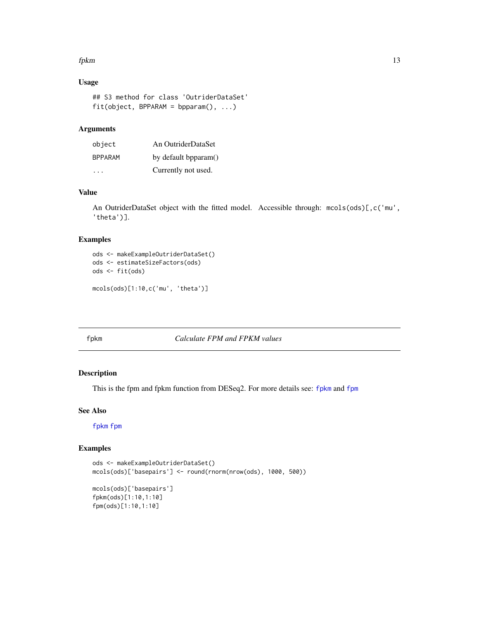#### <span id="page-12-0"></span>fpkm to the contract of the contract of the contract of the contract of the contract of the contract of the contract of the contract of the contract of the contract of the contract of the contract of the contract of the co

# Usage

```
## S3 method for class 'OutriderDataSet'
fit(object, BPPARAM = bpparam(), ...)
```
# Arguments

| object         | An OutriderDataSet   |
|----------------|----------------------|
| <b>BPPARAM</b> | by default bpparam() |
| .              | Currently not used.  |

# Value

An OutriderDataSet object with the fitted model. Accessible through: mcols(ods)[,c('mu', 'theta')].

#### Examples

```
ods <- makeExampleOutriderDataSet()
ods <- estimateSizeFactors(ods)
ods <- fit(ods)
mcols(ods)[1:10,c('mu', 'theta')]
```
# <span id="page-12-1"></span>fpkm *Calculate FPM and FPKM values*

# <span id="page-12-2"></span>Description

This is the fpm and fpkm function from DESeq2. For more details see: [fpkm](#page-12-1) and [fpm](#page-12-2)

# See Also

# [fpkm](#page-12-1) [fpm](#page-12-2)

```
ods <- makeExampleOutriderDataSet()
mcols(ods)['basepairs'] <- round(rnorm(nrow(ods), 1000, 500))
mcols(ods)['basepairs']
```

```
fpkm(ods)[1:10,1:10]
fpm(ods)[1:10,1:10]
```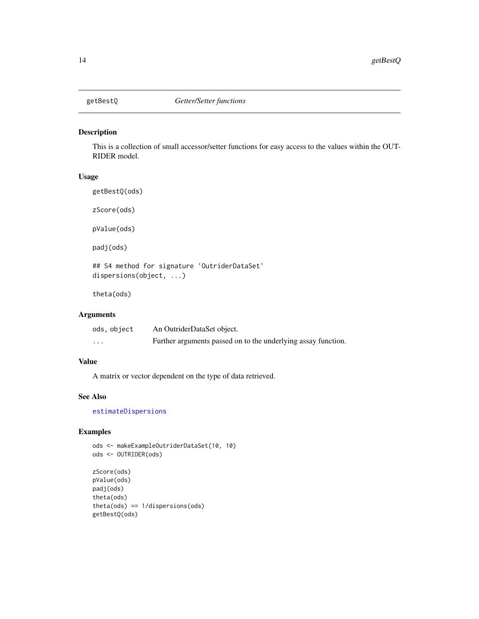<span id="page-13-0"></span>

#### Description

This is a collection of small accessor/setter functions for easy access to the values within the OUT-RIDER model.

# Usage

getBestQ(ods)

zScore(ods)

pValue(ods)

padj(ods)

## S4 method for signature 'OutriderDataSet' dispersions(object, ...)

theta(ods)

# Arguments

| ods, object | An OutriderDataSet object.                                    |
|-------------|---------------------------------------------------------------|
| $\cdots$    | Further arguments passed on to the underlying assay function. |

# Value

A matrix or vector dependent on the type of data retrieved.

# See Also

[estimateDispersions](#page-0-0)

# Examples

ods <- makeExampleOutriderDataSet(10, 10) ods <- OUTRIDER(ods)

```
zScore(ods)
pValue(ods)
padj(ods)
theta(ods)
theta(ods) == 1/dispersions(ods)
getBestQ(ods)
```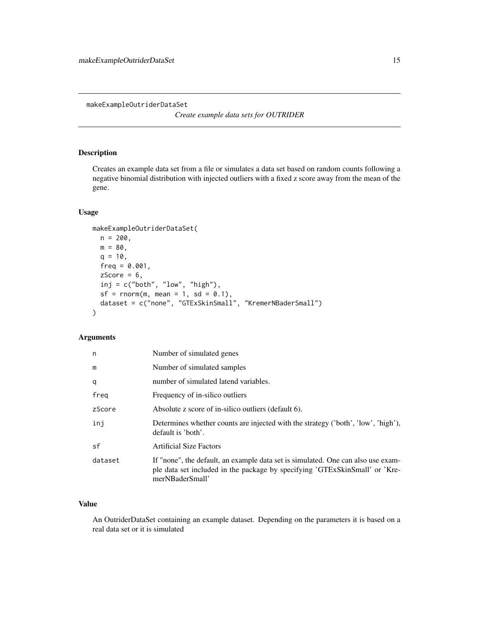<span id="page-14-0"></span>makeExampleOutriderDataSet

*Create example data sets for OUTRIDER*

# Description

Creates an example data set from a file or simulates a data set based on random counts following a negative binomial distribution with injected outliers with a fixed z score away from the mean of the gene.

#### Usage

```
makeExampleOutriderDataSet(
 n = 200,m = 80,
 q = 10,
 freq = 0.001,zScore = 6,
 inj = c("both", "low", "high"),
 sf = rnorm(m, mean = 1, sd = 0.1),dataset = c("none", "GTExSkinSmall", "KremerNBaderSmall")
)
```
# Arguments

| n       | Number of simulated genes                                                                                                                                                          |
|---------|------------------------------------------------------------------------------------------------------------------------------------------------------------------------------------|
| m       | Number of simulated samples                                                                                                                                                        |
| q       | number of simulated latend variables.                                                                                                                                              |
| freg    | Frequency of in-silico outliers                                                                                                                                                    |
| zScore  | Absolute z score of in-silico outliers (default 6).                                                                                                                                |
| inj     | Determines whether counts are injected with the strategy ('both', 'low', 'high'),<br>default is 'both'.                                                                            |
| sf      | <b>Artificial Size Factors</b>                                                                                                                                                     |
| dataset | If "none", the default, an example data set is simulated. One can also use exam-<br>ple data set included in the package by specifying 'GTExSkinSmall' or 'Kre-<br>merNBaderSmall' |

# Value

An OutriderDataSet containing an example dataset. Depending on the parameters it is based on a real data set or it is simulated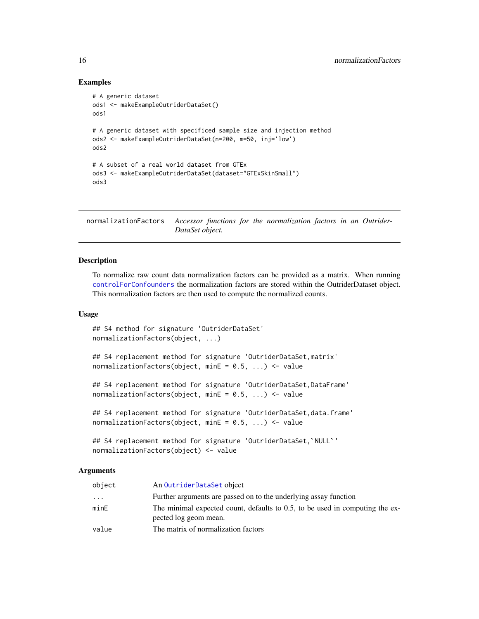#### Examples

```
# A generic dataset
ods1 <- makeExampleOutriderDataSet()
ods1
# A generic dataset with specificed sample size and injection method
ods2 <- makeExampleOutriderDataSet(n=200, m=50, inj='low')
ods2
# A subset of a real world dataset from GTEx
ods3 <- makeExampleOutriderDataSet(dataset="GTExSkinSmall")
ods3
```
<span id="page-15-1"></span>normalizationFactors *Accessor functions for the normalization factors in an Outrider-DataSet object.*

#### Description

To normalize raw count data normalization factors can be provided as a matrix. When running [controlForConfounders](#page-6-1) the normalization factors are stored within the OutriderDataset object. This normalization factors are then used to compute the normalized counts.

#### Usage

```
## S4 method for signature 'OutriderDataSet'
normalizationFactors(object, ...)
## S4 replacement method for signature 'OutriderDataSet,matrix'
normalizationFactors(object, minE = 0.5, ...) <- value
## S4 replacement method for signature 'OutriderDataSet,DataFrame'
normalizationFactors(object, minE = 0.5, ...) <- value
## S4 replacement method for signature 'OutriderDataSet,data.frame'
## S4 replacement method for signature 'OutriderDataSet,`NULL`'
normalizationFactors(object, minE = 0.5, ...) <- value
```

```
normalizationFactors(object) <- value
```
# Arguments

| object   | An OutriderDataSet object                                                                             |
|----------|-------------------------------------------------------------------------------------------------------|
| $\cdots$ | Further arguments are passed on to the underlying assay function                                      |
| minE     | The minimal expected count, defaults to 0.5, to be used in computing the ex-<br>pected log geom mean. |
| value    | The matrix of normalization factors                                                                   |

<span id="page-15-0"></span>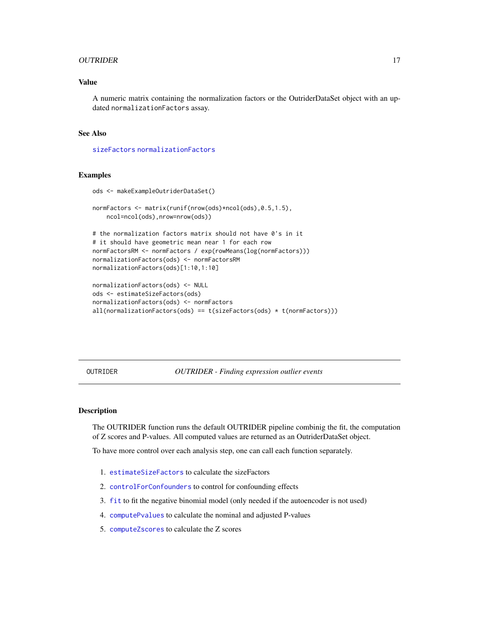#### <span id="page-16-0"></span>OUTRIDER 17

# Value

A numeric matrix containing the normalization factors or the OutriderDataSet object with an updated normalizationFactors assay.

# See Also

[sizeFactors](#page-27-1) [normalizationFactors](#page-15-1)

#### Examples

```
ods <- makeExampleOutriderDataSet()
normFactors <- matrix(runif(nrow(ods)*ncol(ods),0.5,1.5),
    ncol=ncol(ods),nrow=nrow(ods))
# the normalization factors matrix should not have 0's in it
# it should have geometric mean near 1 for each row
normFactorsRM <- normFactors / exp(rowMeans(log(normFactors)))
normalizationFactors(ods) <- normFactorsRM
normalizationFactors(ods)[1:10,1:10]
normalizationFactors(ods) <- NULL
ods <- estimateSizeFactors(ods)
normalizationFactors(ods) <- normFactors
all(normalizationFactors(ods) == t(sizeFactors(ods) * t(normFactors)))
```
OUTRIDER *OUTRIDER - Finding expression outlier events*

#### Description

The OUTRIDER function runs the default OUTRIDER pipeline combinig the fit, the computation of Z scores and P-values. All computed values are returned as an OutriderDataSet object.

To have more control over each analysis step, one can call each function separately.

- 1. [estimateSizeFactors](#page-27-2) to calculate the sizeFactors
- 2. [controlForConfounders](#page-6-1) to control for confounding effects
- 3. [fit](#page-11-1) to fit the negative binomial model (only needed if the autoencoder is not used)
- 4. [computePvalues](#page-4-1) to calculate the nominal and adjusted P-values
- 5. [computeZscores](#page-5-1) to calculate the Z scores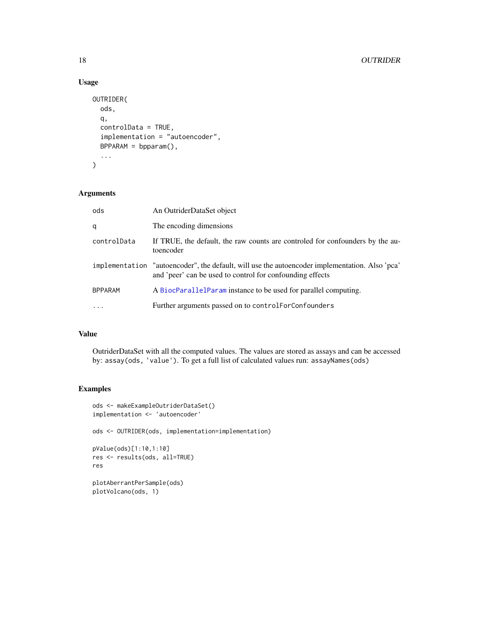# Usage

```
OUTRIDER(
  ods,
  q,
  controlData = TRUE,
  implementation = "autoencoder",
  BPPARAM = bpparam(),
  ...
\mathcal{L}
```
# Arguments

| ods            | An OutriderDataSet object                                                                                                                                   |  |
|----------------|-------------------------------------------------------------------------------------------------------------------------------------------------------------|--|
| q              | The encoding dimensions                                                                                                                                     |  |
| controlData    | If TRUE, the default, the raw counts are controled for confounders by the au-<br>toencoder                                                                  |  |
|                | implementation "autoencoder", the default, will use the autoencoder implementation. Also 'pca'<br>and 'peer' can be used to control for confounding effects |  |
| <b>BPPARAM</b> | A BiocParallelParam instance to be used for parallel computing.                                                                                             |  |
| $\cdot$        | Further arguments passed on to control ForConfounders                                                                                                       |  |

# Value

OutriderDataSet with all the computed values. The values are stored as assays and can be accessed by: assay(ods, 'value'). To get a full list of calculated values run: assayNames(ods)

```
ods <- makeExampleOutriderDataSet()
implementation <- 'autoencoder'
ods <- OUTRIDER(ods, implementation=implementation)
pValue(ods)[1:10,1:10]
res <- results(ods, all=TRUE)
res
plotAberrantPerSample(ods)
plotVolcano(ods, 1)
```
<span id="page-17-0"></span>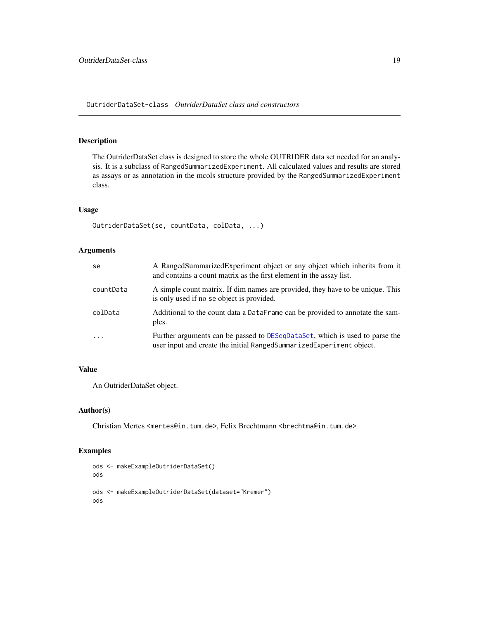<span id="page-18-0"></span>OutriderDataSet-class *OutriderDataSet class and constructors*

# <span id="page-18-1"></span>Description

The OutriderDataSet class is designed to store the whole OUTRIDER data set needed for an analysis. It is a subclass of RangedSummarizedExperiment. All calculated values and results are stored as assays or as annotation in the mcols structure provided by the RangedSummarizedExperiment class.

#### Usage

```
OutriderDataSet(se, countData, colData, ...)
```
# Arguments

| se        | A RangedSummarizedExperiment object or any object which inherits from it<br>and contains a count matrix as the first element in the assay list.     |
|-----------|-----------------------------------------------------------------------------------------------------------------------------------------------------|
| countData | A simple count matrix. If dim names are provided, they have to be unique. This<br>is only used if no se object is provided.                         |
| colData   | Additional to the count data a DataFrame can be provided to annotate the sam-<br>ples.                                                              |
| $\cdot$   | Further arguments can be passed to DESeqDataSet, which is used to parse the<br>user input and create the initial RangedSummarizedExperiment object. |

# Value

An OutriderDataSet object.

#### Author(s)

Christian Mertes <mertes@in.tum.de>, Felix Brechtmann <br <br />
christian.tum.de>

```
ods <- makeExampleOutriderDataSet()
ods
ods <- makeExampleOutriderDataSet(dataset="Kremer")
ods
```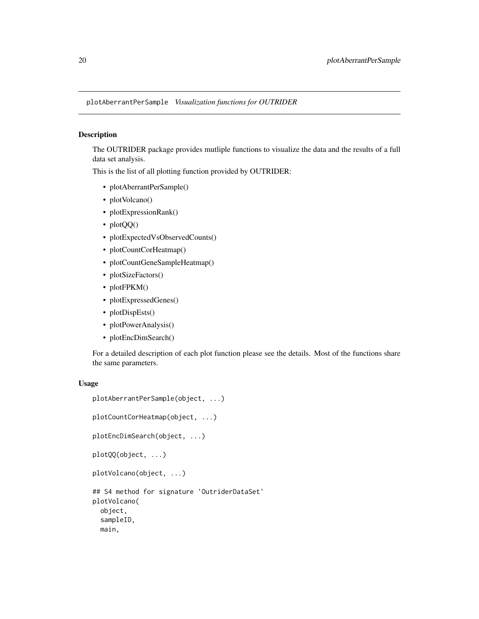<span id="page-19-0"></span>plotAberrantPerSample *Visualization functions for OUTRIDER*

# Description

The OUTRIDER package provides mutliple functions to visualize the data and the results of a full data set analysis.

This is the list of all plotting function provided by OUTRIDER:

- plotAberrantPerSample()
- plotVolcano()
- plotExpressionRank()
- plotQQ()
- plotExpectedVsObservedCounts()
- plotCountCorHeatmap()
- plotCountGeneSampleHeatmap()
- plotSizeFactors()
- plotFPKM()
- plotExpressedGenes()
- plotDispEsts()
- plotPowerAnalysis()
- plotEncDimSearch()

For a detailed description of each plot function please see the details. Most of the functions share the same parameters.

#### Usage

```
plotAberrantPerSample(object, ...)
plotCountCorHeatmap(object, ...)
plotEncDimSearch(object, ...)
plotQQ(object, ...)
plotVolcano(object, ...)
## S4 method for signature 'OutriderDataSet'
plotVolcano(
  object,
  sampleID,
 main,
```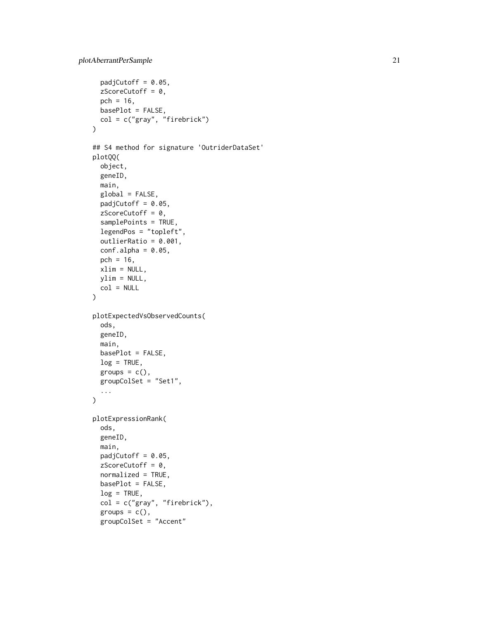```
padjCutoff = 0.05,
  zScoreCutoff = 0,
 pch = 16,
 basePlot = FALSE,
  col = c("gray", "firebrick")
)
## S4 method for signature 'OutriderDataSet'
plotQQ(
 object,
 geneID,
 main,
 global = FALSE,padjCutoff = 0.05,
 zScoreCutoff = 0,
  samplePoints = TRUE,
  legendPos = "topleft",
  outlierRatio = 0.001,
  conf.alpha = 0.05,
  pch = 16,
 xlim = NULL,
 ylim = NULL,
 col = NULL)
plotExpectedVsObservedCounts(
  ods,
  geneID,
 main,
 basePlot = FALSE,
  log = TRUE,groups = c(),
  groupColSet = "Set1",
  ...
\mathcal{L}plotExpressionRank(
 ods,
  geneID,
 main,
 padjCutoff = 0.05,
  zScoreCutoff = 0,normalized = TRUE,
 basePlot = FALSE,
  log = TRUE,col = c("gray", "firebrick"),
  groups = c(),
  groupColSet = "Accent"
```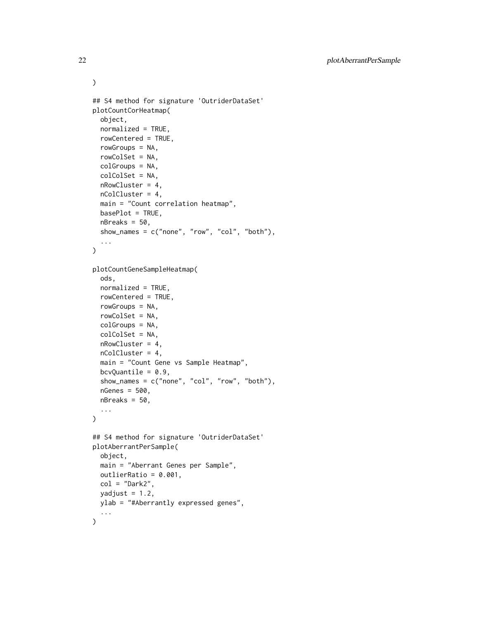```
## S4 method for signature 'OutriderDataSet'
plotCountCorHeatmap(
  object,
 normalized = TRUE,
  rowCentered = TRUE,
  rowGroups = NA,
  rowColSet = NA,
  colGroups = NA,
  colColSet = NA,
  nRowCluster = 4,
 nColCluster = 4,
 main = "Count correlation heatmap",
 basePlot = TRUE,nBreaks = 50,
  show_names = c("none", "row", "col", "both"),
  ...
\lambdaplotCountGeneSampleHeatmap(
  ods,
 normalized = TRUE,
  rowCentered = TRUE,
  rowGroups = NA,
  rowColSet = NA,
  colGroups = NA,
  colColSet = NA,
  nRowCluster = 4,
 nColCluster = 4,
  main = "Count Gene vs Sample Heatmap",
 bcvQuantile = 0.9,
  show_names = c("none", "col", "row", "both"),nGenes = 500,
  nBreaks = 50,
  ...
\lambda## S4 method for signature 'OutriderDataSet'
plotAberrantPerSample(
  object,
 main = "Aberrant Genes per Sample",
 outlierRatio = 0.001,
 col = "Dark2",yadjust = 1.2,
 ylab = "#Aberrantly expressed genes",
  ...
\mathcal{L}
```
 $\mathcal{L}$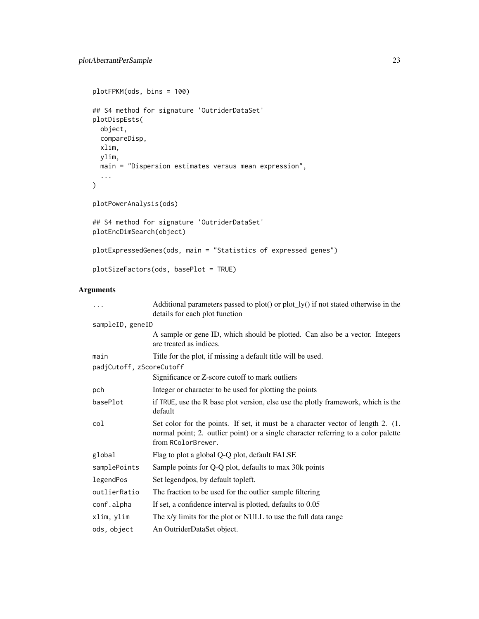```
plotFPKM(ods, bins = 100)
## S4 method for signature 'OutriderDataSet'
plotDispEsts(
 object,
 compareDisp,
 xlim,
 ylim,
 main = "Dispersion estimates versus mean expression",
  ...
\mathcal{L}plotPowerAnalysis(ods)
## S4 method for signature 'OutriderDataSet'
plotEncDimSearch(object)
plotExpressedGenes(ods, main = "Statistics of expressed genes")
```

```
plotSizeFactors(ods, basePlot = TRUE)
```
# Arguments

| $\cdots$                 | Additional parameters passed to $plot()$ or $plot_l(y()$ if not stated otherwise in the<br>details for each plot function                                                                    |  |
|--------------------------|----------------------------------------------------------------------------------------------------------------------------------------------------------------------------------------------|--|
| sampleID, geneID         |                                                                                                                                                                                              |  |
|                          | A sample or gene ID, which should be plotted. Can also be a vector. Integers<br>are treated as indices.                                                                                      |  |
| main                     | Title for the plot, if missing a default title will be used.                                                                                                                                 |  |
| padjCutoff, zScoreCutoff |                                                                                                                                                                                              |  |
|                          | Significance or Z-score cutoff to mark outliers                                                                                                                                              |  |
| pch                      | Integer or character to be used for plotting the points                                                                                                                                      |  |
| basePlot                 | if TRUE, use the R base plot version, else use the plotly framework, which is the<br>default                                                                                                 |  |
| col                      | Set color for the points. If set, it must be a character vector of length 2. (1.<br>normal point; 2. outlier point) or a single character referring to a color palette<br>from RColorBrewer. |  |
| global                   | Flag to plot a global Q-Q plot, default FALSE                                                                                                                                                |  |
| samplePoints             | Sample points for Q-Q plot, defaults to max 30k points                                                                                                                                       |  |
| legendPos                | Set legendpos, by default topleft.                                                                                                                                                           |  |
| outlierRatio             | The fraction to be used for the outlier sample filtering                                                                                                                                     |  |
| conf.alpha               | If set, a confidence interval is plotted, defaults to 0.05                                                                                                                                   |  |
| xlim, ylim               | The x/y limits for the plot or NULL to use the full data range                                                                                                                               |  |
| ods, object              | An OutriderDataSet object.                                                                                                                                                                   |  |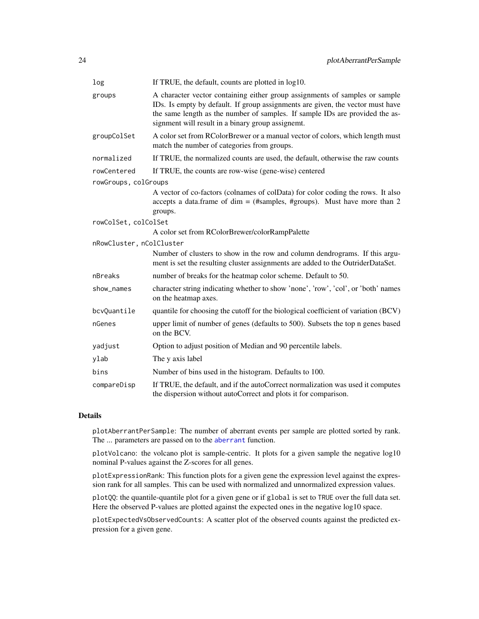<span id="page-23-0"></span>

| log                      | If TRUE, the default, counts are plotted in log10.                                                                                                                                                                                                                                                 |
|--------------------------|----------------------------------------------------------------------------------------------------------------------------------------------------------------------------------------------------------------------------------------------------------------------------------------------------|
| groups                   | A character vector containing either group assignments of samples or sample<br>IDs. Is empty by default. If group assignments are given, the vector must have<br>the same length as the number of samples. If sample IDs are provided the as-<br>signment will result in a binary group assignemt. |
| groupColSet              | A color set from RColorBrewer or a manual vector of colors, which length must<br>match the number of categories from groups.                                                                                                                                                                       |
| normalized               | If TRUE, the normalized counts are used, the default, otherwise the raw counts                                                                                                                                                                                                                     |
| rowCentered              | If TRUE, the counts are row-wise (gene-wise) centered                                                                                                                                                                                                                                              |
| rowGroups, colGroups     |                                                                                                                                                                                                                                                                                                    |
|                          | A vector of co-factors (colnames of colData) for color coding the rows. It also<br>accepts a data.frame of dim = (#samples, #groups). Must have more than 2                                                                                                                                        |
|                          | groups.                                                                                                                                                                                                                                                                                            |
| rowColSet, colColSet     | A color set from RColorBrewer/colorRampPalette                                                                                                                                                                                                                                                     |
| nRowCluster, nColCluster |                                                                                                                                                                                                                                                                                                    |
|                          | Number of clusters to show in the row and column dendrograms. If this argu-<br>ment is set the resulting cluster assignments are added to the OutriderDataSet.                                                                                                                                     |
| nBreaks                  | number of breaks for the heatmap color scheme. Default to 50.                                                                                                                                                                                                                                      |
| show_names               | character string indicating whether to show 'none', 'row', 'col', or 'both' names<br>on the heatmap axes.                                                                                                                                                                                          |
| bcvQuantile              | quantile for choosing the cutoff for the biological coefficient of variation (BCV)                                                                                                                                                                                                                 |
| nGenes                   | upper limit of number of genes (defaults to 500). Subsets the top n genes based<br>on the BCV.                                                                                                                                                                                                     |
| yadjust                  | Option to adjust position of Median and 90 percentile labels.                                                                                                                                                                                                                                      |
| ylab                     | The y axis label                                                                                                                                                                                                                                                                                   |
| bins                     | Number of bins used in the histogram. Defaults to 100.                                                                                                                                                                                                                                             |
| compareDisp              | If TRUE, the default, and if the autoCorrect normalization was used it computes<br>the dispersion without autoCorrect and plots it for comparison.                                                                                                                                                 |

# Details

plotAberrantPerSample: The number of aberrant events per sample are plotted sorted by rank. The ... parameters are passed on to the [aberrant](#page-2-1) function.

plotVolcano: the volcano plot is sample-centric. It plots for a given sample the negative log10 nominal P-values against the Z-scores for all genes.

plotExpressionRank: This function plots for a given gene the expression level against the expression rank for all samples. This can be used with normalized and unnormalized expression values.

plotQQ: the quantile-quantile plot for a given gene or if global is set to TRUE over the full data set. Here the observed P-values are plotted against the expected ones in the negative log10 space.

plotExpectedVsObservedCounts: A scatter plot of the observed counts against the predicted expression for a given gene.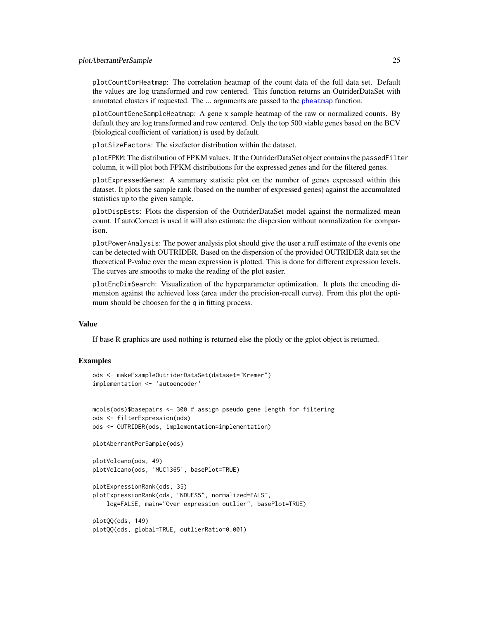<span id="page-24-0"></span>plotCountCorHeatmap: The correlation heatmap of the count data of the full data set. Default the values are log transformed and row centered. This function returns an OutriderDataSet with annotated clusters if requested. The ... arguments are passed to the [pheatmap](#page-0-0) function.

plotCountGeneSampleHeatmap: A gene x sample heatmap of the raw or normalized counts. By default they are log transformed and row centered. Only the top 500 viable genes based on the BCV (biological coefficient of variation) is used by default.

plotSizeFactors: The sizefactor distribution within the dataset.

plotFPKM: The distribution of FPKM values. If the OutriderDataSet object contains the passedFilter column, it will plot both FPKM distributions for the expressed genes and for the filtered genes.

plotExpressedGenes: A summary statistic plot on the number of genes expressed within this dataset. It plots the sample rank (based on the number of expressed genes) against the accumulated statistics up to the given sample.

plotDispEsts: Plots the dispersion of the OutriderDataSet model against the normalized mean count. If autoCorrect is used it will also estimate the dispersion without normalization for comparison.

plotPowerAnalysis: The power analysis plot should give the user a ruff estimate of the events one can be detected with OUTRIDER. Based on the dispersion of the provided OUTRIDER data set the theoretical P-value over the mean expression is plotted. This is done for different expression levels. The curves are smooths to make the reading of the plot easier.

plotEncDimSearch: Visualization of the hyperparameter optimization. It plots the encoding dimension against the achieved loss (area under the precision-recall curve). From this plot the optimum should be choosen for the q in fitting process.

#### Value

If base R graphics are used nothing is returned else the plotly or the gplot object is returned.

```
ods <- makeExampleOutriderDataSet(dataset="Kremer")
implementation <- 'autoencoder'
```

```
mcols(ods)$basepairs <- 300 # assign pseudo gene length for filtering
ods <- filterExpression(ods)
ods <- OUTRIDER(ods, implementation=implementation)
```

```
plotAberrantPerSample(ods)
```

```
plotVolcano(ods, 49)
plotVolcano(ods, 'MUC1365', basePlot=TRUE)
```

```
plotExpressionRank(ods, 35)
plotExpressionRank(ods, "NDUFS5", normalized=FALSE,
   log=FALSE, main="Over expression outlier", basePlot=TRUE)
```

```
plotQQ(ods, 149)
plotQQ(ods, global=TRUE, outlierRatio=0.001)
```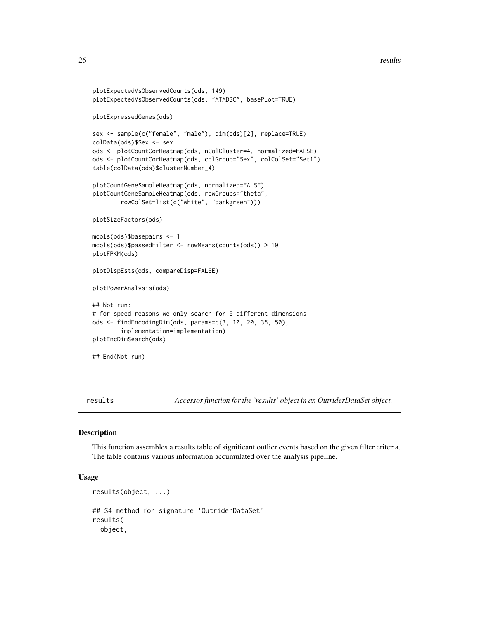#### <span id="page-25-0"></span>26 results

```
plotExpectedVsObservedCounts(ods, 149)
plotExpectedVsObservedCounts(ods, "ATAD3C", basePlot=TRUE)
plotExpressedGenes(ods)
sex <- sample(c("female", "male"), dim(ods)[2], replace=TRUE)
colData(ods)$Sex <- sex
ods <- plotCountCorHeatmap(ods, nColCluster=4, normalized=FALSE)
ods <- plotCountCorHeatmap(ods, colGroup="Sex", colColSet="Set1")
table(colData(ods)$clusterNumber_4)
plotCountGeneSampleHeatmap(ods, normalized=FALSE)
plotCountGeneSampleHeatmap(ods, rowGroups="theta",
        rowColSet=list(c("white", "darkgreen")))
plotSizeFactors(ods)
mcols(ods)$basepairs <- 1
mcols(ods)$passedFilter <- rowMeans(counts(ods)) > 10
plotFPKM(ods)
plotDispEsts(ods, compareDisp=FALSE)
plotPowerAnalysis(ods)
## Not run:
# for speed reasons we only search for 5 different dimensions
ods <- findEncodingDim(ods, params=c(3, 10, 20, 35, 50),
        implementation=implementation)
plotEncDimSearch(ods)
## End(Not run)
```
results *Accessor function for the 'results' object in an OutriderDataSet object.*

#### Description

This function assembles a results table of significant outlier events based on the given filter criteria. The table contains various information accumulated over the analysis pipeline.

#### Usage

```
results(object, ...)
## S4 method for signature 'OutriderDataSet'
results(
 object,
```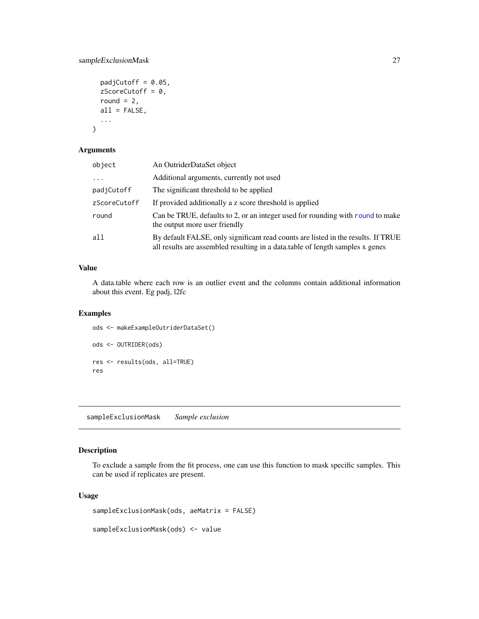# <span id="page-26-0"></span>sampleExclusionMask 27

```
padjCutoff = 0.05,
zScoreCutoff = 0,
round = 2,
all = FALSE,
...
```
# Arguments

 $\overline{\phantom{a}}$ 

| object       | An OutriderDataSet object                                                                                                                                          |  |
|--------------|--------------------------------------------------------------------------------------------------------------------------------------------------------------------|--|
| $\ddots$     | Additional arguments, currently not used                                                                                                                           |  |
| padjCutoff   | The significant threshold to be applied                                                                                                                            |  |
| zScoreCutoff | If provided additionally a z score threshold is applied                                                                                                            |  |
| round        | Can be TRUE, defaults to 2, or an integer used for rounding with round to make<br>the output more user friendly                                                    |  |
| all          | By default FALSE, only significant read counts are listed in the results. If TRUE<br>all results are assembled resulting in a data.table of length samples x genes |  |

# Value

A data.table where each row is an outlier event and the columns contain additional information about this event. Eg padj, l2fc

# Examples

```
ods <- makeExampleOutriderDataSet()
ods <- OUTRIDER(ods)
res <- results(ods, all=TRUE)
res
```
sampleExclusionMask *Sample exclusion*

# Description

To exclude a sample from the fit process, one can use this function to mask specific samples. This can be used if replicates are present.

# Usage

```
sampleExclusionMask(ods, aeMatrix = FALSE)
```
sampleExclusionMask(ods) <- value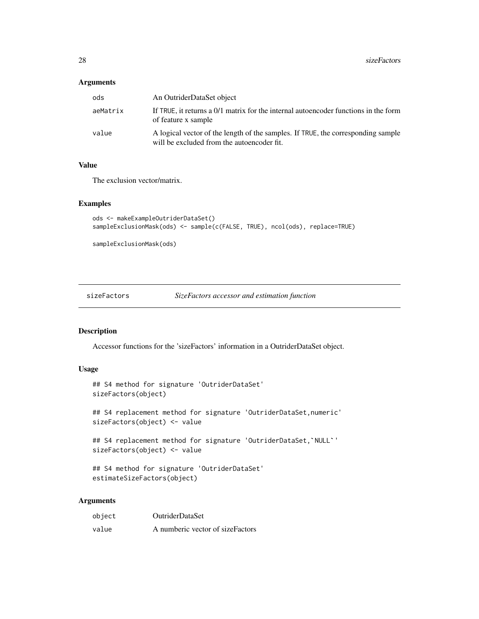# <span id="page-27-0"></span>Arguments

| ods      | An OutriderDataSet object                                                                                                      |
|----------|--------------------------------------------------------------------------------------------------------------------------------|
| aeMatrix | If TRUE, it returns a 0/1 matrix for the internal autoencoder functions in the form<br>of feature x sample                     |
| value    | A logical vector of the length of the samples. If TRUE, the corresponding sample<br>will be excluded from the autoencoder fit. |

# Value

The exclusion vector/matrix.

# Examples

```
ods <- makeExampleOutriderDataSet()
sampleExclusionMask(ods) <- sample(c(FALSE, TRUE), ncol(ods), replace=TRUE)
```
sampleExclusionMask(ods)

<span id="page-27-1"></span>sizeFactors *SizeFactors accessor and estimation function*

# <span id="page-27-2"></span>Description

Accessor functions for the 'sizeFactors' information in a OutriderDataSet object.

# Usage

```
## S4 method for signature 'OutriderDataSet'
sizeFactors(object)
## S4 replacement method for signature 'OutriderDataSet,numeric'
## S4 replacement method for signature 'OutriderDataSet,`NULL`'
sizeFactors(object) <- value
sizeFactors(object) <- value
```

```
## S4 method for signature 'OutriderDataSet'
estimateSizeFactors(object)
```
# Arguments

| object | <b>OutriderDataSet</b>           |
|--------|----------------------------------|
| value  | A numberic vector of sizeFactors |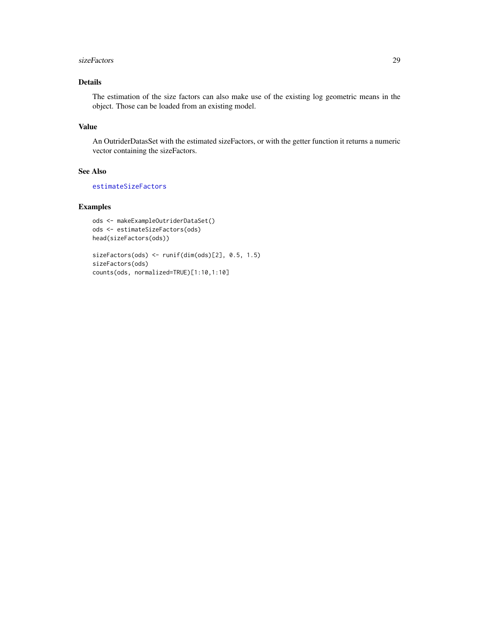#### <span id="page-28-0"></span>sizeFactors 29

# Details

The estimation of the size factors can also make use of the existing log geometric means in the object. Those can be loaded from an existing model.

# Value

An OutriderDatasSet with the estimated sizeFactors, or with the getter function it returns a numeric vector containing the sizeFactors.

# See Also

[estimateSizeFactors](#page-27-2)

```
ods <- makeExampleOutriderDataSet()
ods <- estimateSizeFactors(ods)
head(sizeFactors(ods))
```

```
sizeFactors(ods) <- runif(dim(ods)[2], 0.5, 1.5)
sizeFactors(ods)
counts(ods, normalized=TRUE)[1:10,1:10]
```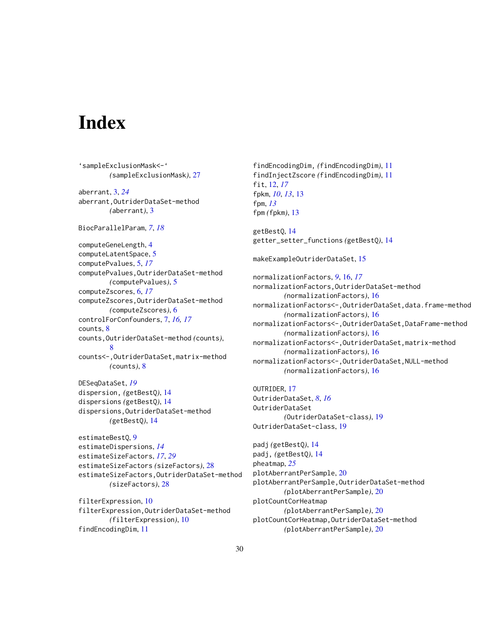# <span id="page-29-0"></span>**Index**

'sampleExclusionMask<-' *(*sampleExclusionMask*)*, [27](#page-26-0) aberrant, [3,](#page-2-0) *[24](#page-23-0)* aberrant,OutriderDataSet-method *(*aberrant*)*, [3](#page-2-0) BiocParallelParam, *[7](#page-6-0)*, *[18](#page-17-0)* computeGeneLength, [4](#page-3-0) computeLatentSpace, [5](#page-4-0) computePvalues, [5,](#page-4-0) *[17](#page-16-0)* computePvalues,OutriderDataSet-method *(*computePvalues*)*, [5](#page-4-0) computeZscores, [6,](#page-5-0) *[17](#page-16-0)* computeZscores,OutriderDataSet-method *(*computeZscores*)*, [6](#page-5-0) controlForConfounders, [7,](#page-6-0) *[16,](#page-15-0) [17](#page-16-0)* counts, [8](#page-7-0) counts,OutriderDataSet-method *(*counts*)*, [8](#page-7-0) counts<-,OutriderDataSet,matrix-method *(*counts*)*, [8](#page-7-0) DESeqDataSet, *[19](#page-18-0)* dispersion, *(*getBestQ*)*, [14](#page-13-0) dispersions *(*getBestQ*)*, [14](#page-13-0) dispersions,OutriderDataSet-method *(*getBestQ*)*, [14](#page-13-0) estimateBestQ, [9](#page-8-0) estimateDispersions, *[14](#page-13-0)* estimateSizeFactors, *[17](#page-16-0)*, *[29](#page-28-0)* estimateSizeFactors *(*sizeFactors*)*, [28](#page-27-0) estimateSizeFactors,OutriderDataSet-method *(*sizeFactors*)*, [28](#page-27-0)

filterExpression, [10](#page-9-0) filterExpression,OutriderDataSet-method *(*filterExpression*)*, [10](#page-9-0) findEncodingDim, [11](#page-10-0)

findEncodingDim, *(*findEncodingDim*)*, [11](#page-10-0) findInjectZscore *(*findEncodingDim*)*, [11](#page-10-0) fit, [12,](#page-11-0) *[17](#page-16-0)* fpkm, *[10](#page-9-0)*, *[13](#page-12-0)*, [13](#page-12-0) fpm, *[13](#page-12-0)* fpm *(*fpkm*)*, [13](#page-12-0)

getBestQ, [14](#page-13-0) getter\_setter\_functions *(*getBestQ*)*, [14](#page-13-0)

makeExampleOutriderDataSet, [15](#page-14-0)

normalizationFactors, *[9](#page-8-0)*, [16,](#page-15-0) *[17](#page-16-0)* normalizationFactors,OutriderDataSet-method *(*normalizationFactors*)*, [16](#page-15-0) normalizationFactors<-,OutriderDataSet,data.frame-method *(*normalizationFactors*)*, [16](#page-15-0) normalizationFactors<-,OutriderDataSet,DataFrame-method *(*normalizationFactors*)*, [16](#page-15-0) normalizationFactors<-,OutriderDataSet,matrix-method *(*normalizationFactors*)*, [16](#page-15-0) normalizationFactors<-,OutriderDataSet,NULL-method *(*normalizationFactors*)*, [16](#page-15-0)

OUTRIDER, [17](#page-16-0) OutriderDataSet, *[8](#page-7-0)*, *[16](#page-15-0)* OutriderDataSet *(*OutriderDataSet-class*)*, [19](#page-18-0) OutriderDataSet-class, [19](#page-18-0)

padj *(*getBestQ*)*, [14](#page-13-0) padj, *(*getBestQ*)*, [14](#page-13-0) pheatmap, *[25](#page-24-0)* plotAberrantPerSample, [20](#page-19-0) plotAberrantPerSample,OutriderDataSet-method *(*plotAberrantPerSample*)*, [20](#page-19-0) plotCountCorHeatmap *(*plotAberrantPerSample*)*, [20](#page-19-0) plotCountCorHeatmap,OutriderDataSet-method *(*plotAberrantPerSample*)*, [20](#page-19-0)